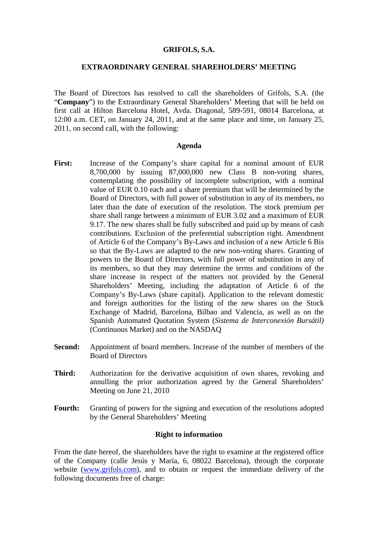#### **GRIFOLS, S.A.**

## **EXTRAORDINARY GENERAL SHAREHOLDERS' MEETING**

The Board of Directors has resolved to call the shareholders of Grifols, S.A. (the "**Company**") to the Extraordinary General Shareholders' Meeting that will be held on first call at Hilton Barcelona Hotel, Avda. Diagonal, 589-591, 08014 Barcelona, at 12:00 a.m. CET, on January 24, 2011, and at the same place and time, on January 25, 2011, on second call, with the following:

#### **Agenda**

- First: Increase of the Company's share capital for a nominal amount of EUR 8,700,000 by issuing 87,000,000 new Class B non-voting shares, contemplating the possibility of incomplete subscription, with a nominal value of EUR 0.10 each and a share premium that will be determined by the Board of Directors, with full power of substitution in any of its members, no later than the date of execution of the resolution. The stock premium per share shall range between a minimum of EUR 3.02 and a maximum of EUR 9.17. The new shares shall be fully subscribed and paid up by means of cash contributions. Exclusion of the preferential subscription right. Amendment of Article 6 of the Company's By-Laws and inclusion of a new Article 6 Bis so that the By-Laws are adapted to the new non-voting shares. Granting of powers to the Board of Directors, with full power of substitution in any of its members, so that they may determine the terms and conditions of the share increase in respect of the matters not provided by the General Shareholders' Meeting, including the adaptation of Article 6 of the Company's By-Laws (share capital). Application to the relevant domestic and foreign authorities for the listing of the new shares on the Stock Exchange of Madrid, Barcelona, Bilbao and Valencia, as well as on the Spanish Automated Quotation System (*Sistema de Interconexión Bursátil)*  (Continuous Market) and on the NASDAQ
- **Second:** Appointment of board members. Increase of the number of members of the Board of Directors
- **Third:** Authorization for the derivative acquisition of own shares, revoking and annulling the prior authorization agreed by the General Shareholders' Meeting on June 21, 2010
- Fourth: Granting of powers for the signing and execution of the resolutions adopted by the General Shareholders' Meeting

#### **Right to information**

From the date hereof, the shareholders have the right to examine at the registered office of the Company (calle Jesús y María, 6, 08022 Barcelona), through the corporate website (www.grifols.com), and to obtain or request the immediate delivery of the following documents free of charge: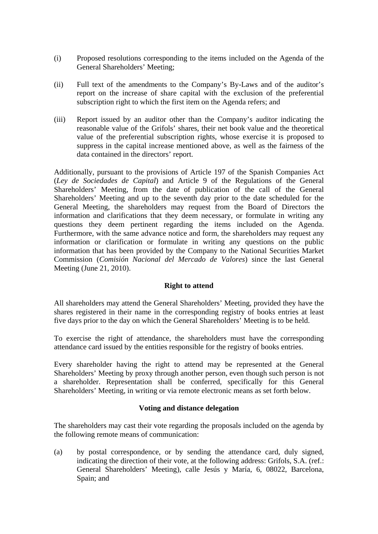- (i) Proposed resolutions corresponding to the items included on the Agenda of the General Shareholders' Meeting;
- (ii) Full text of the amendments to the Company's By-Laws and of the auditor's report on the increase of share capital with the exclusion of the preferential subscription right to which the first item on the Agenda refers; and
- (iii) Report issued by an auditor other than the Company's auditor indicating the reasonable value of the Grifols' shares, their net book value and the theoretical value of the preferential subscription rights, whose exercise it is proposed to suppress in the capital increase mentioned above, as well as the fairness of the data contained in the directors' report.

Additionally, pursuant to the provisions of Article 197 of the Spanish Companies Act (*Ley de Sociedades de Capital*) and Article 9 of the Regulations of the General Shareholders' Meeting, from the date of publication of the call of the General Shareholders' Meeting and up to the seventh day prior to the date scheduled for the General Meeting, the shareholders may request from the Board of Directors the information and clarifications that they deem necessary, or formulate in writing any questions they deem pertinent regarding the items included on the Agenda. Furthermore, with the same advance notice and form, the shareholders may request any information or clarification or formulate in writing any questions on the public information that has been provided by the Company to the National Securities Market Commission (*Comisión Nacional del Mercado de Valores*) since the last General Meeting (June 21, 2010).

# **Right to attend**

All shareholders may attend the General Shareholders' Meeting, provided they have the shares registered in their name in the corresponding registry of books entries at least five days prior to the day on which the General Shareholders' Meeting is to be held.

To exercise the right of attendance, the shareholders must have the corresponding attendance card issued by the entities responsible for the registry of books entries.

Every shareholder having the right to attend may be represented at the General Shareholders' Meeting by proxy through another person, even though such person is not a shareholder. Representation shall be conferred, specifically for this General Shareholders' Meeting, in writing or via remote electronic means as set forth below.

## **Voting and distance delegation**

The shareholders may cast their vote regarding the proposals included on the agenda by the following remote means of communication:

(a) by postal correspondence, or by sending the attendance card, duly signed, indicating the direction of their vote, at the following address: Grifols, S.A. (ref.: General Shareholders' Meeting), calle Jesús y María, 6, 08022, Barcelona, Spain; and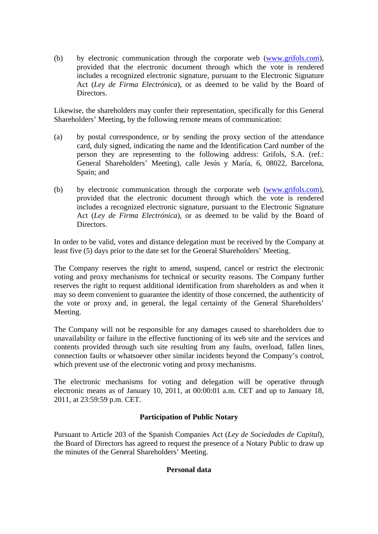(b) by electronic communication through the corporate web (www.grifols.com), provided that the electronic document through which the vote is rendered includes a recognized electronic signature, pursuant to the Electronic Signature Act (*Ley de Firma Electrónica*), or as deemed to be valid by the Board of **Directors** 

Likewise, the shareholders may confer their representation, specifically for this General Shareholders' Meeting, by the following remote means of communication:

- (a) by postal correspondence, or by sending the proxy section of the attendance card, duly signed, indicating the name and the Identification Card number of the person they are representing to the following address: Grifols, S.A. (ref.: General Shareholders' Meeting), calle Jesús y María, 6, 08022, Barcelona, Spain; and
- (b) by electronic communication through the corporate web (www.grifols.com), provided that the electronic document through which the vote is rendered includes a recognized electronic signature, pursuant to the Electronic Signature Act (*Ley de Firma Electrónica*), or as deemed to be valid by the Board of Directors.

In order to be valid, votes and distance delegation must be received by the Company at least five (5) days prior to the date set for the General Shareholders' Meeting.

The Company reserves the right to amend, suspend, cancel or restrict the electronic voting and proxy mechanisms for technical or security reasons. The Company further reserves the right to request additional identification from shareholders as and when it may so deem convenient to guarantee the identity of those concerned, the authenticity of the vote or proxy and, in general, the legal certainty of the General Shareholders' Meeting.

The Company will not be responsible for any damages caused to shareholders due to unavailability or failure in the effective functioning of its web site and the services and contents provided through such site resulting from any faults, overload, fallen lines, connection faults or whatsoever other similar incidents beyond the Company's control, which prevent use of the electronic voting and proxy mechanisms.

The electronic mechanisms for voting and delegation will be operative through electronic means as of January 10, 2011, at 00:00:01 a.m. CET and up to January 18, 2011, at 23:59:59 p.m. CET.

# **Participation of Public Notary**

Pursuant to Article 203 of the Spanish Companies Act (*Ley de Sociedades de Capital*), the Board of Directors has agreed to request the presence of a Notary Public to draw up the minutes of the General Shareholders' Meeting.

## **Personal data**